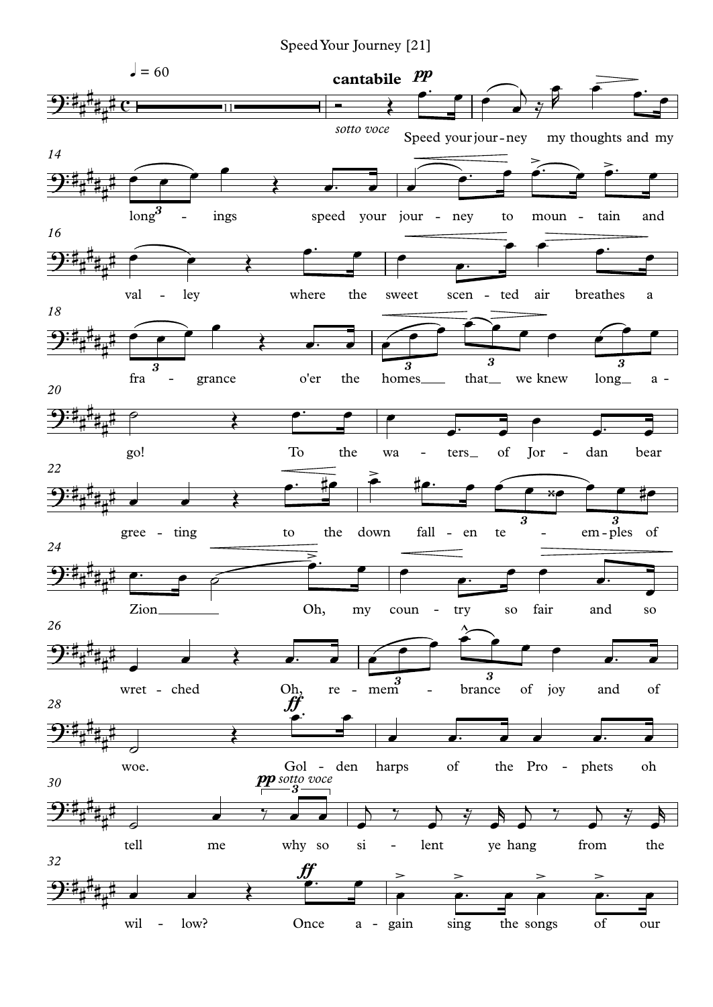Speed Your Journey [21]